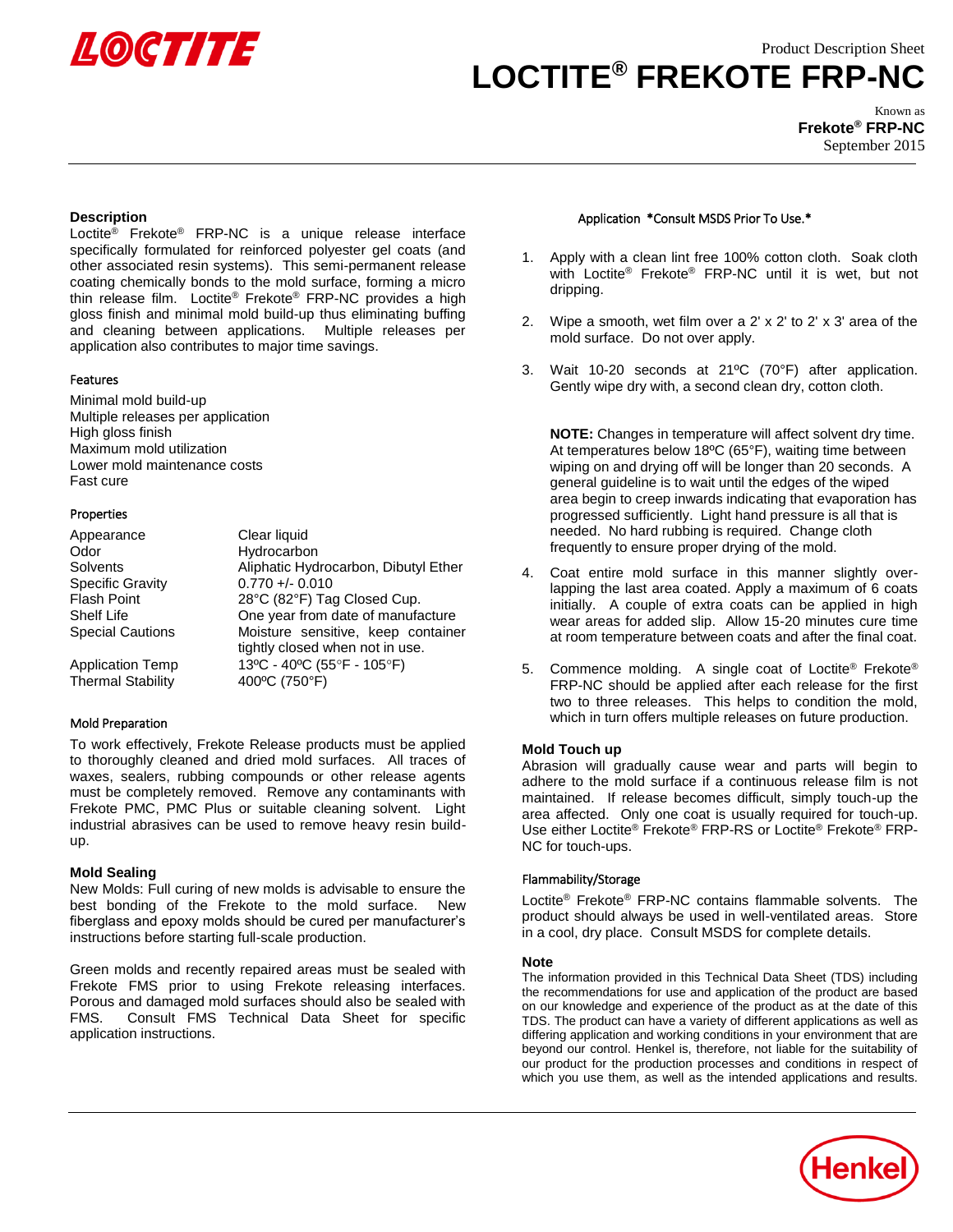

## Product Description Sheet

# **LOCTITE® FREKOTE FRP-NC**

Known as **Frekote® FRP-NC** September 2015

## **Description**

Loctite® Frekote® FRP-NC is a unique release interface specifically formulated for reinforced polyester gel coats (and other associated resin systems). This semi-permanent release coating chemically bonds to the mold surface, forming a micro thin release film. Loctite® Frekote® FRP-NC provides a high gloss finish and minimal mold build-up thus eliminating buffing and cleaning between applications. Multiple releases per application also contributes to major time savings.

## **Features**

Minimal mold build-up Multiple releases per application High gloss finish Maximum mold utilization Lower mold maintenance costs Fast cure

## Properties

| Appearance                                          | Clear liquid                                                          |
|-----------------------------------------------------|-----------------------------------------------------------------------|
| Odor                                                | Hydrocarbon                                                           |
| Solvents                                            | Aliphatic Hydrocarbon, Dibutyl Ether                                  |
| <b>Specific Gravity</b>                             | $0.770 +/- 0.010$                                                     |
| <b>Flash Point</b>                                  | 28°C (82°F) Tag Closed Cup.                                           |
| Shelf Life                                          | One year from date of manufacture                                     |
| <b>Special Cautions</b>                             | Moisture sensitive, keep container<br>tightly closed when not in use. |
| <b>Application Temp</b><br><b>Thermal Stability</b> | 13°C - 40°C (55°F - 105°F)<br>400°C (750°F)                           |

### Mold Preparation

To work effectively, Frekote Release products must be applied to thoroughly cleaned and dried mold surfaces. All traces of waxes, sealers, rubbing compounds or other release agents must be completely removed. Remove any contaminants with Frekote PMC, PMC Plus or suitable cleaning solvent. Light industrial abrasives can be used to remove heavy resin buildup.

### **Mold Sealing**

New Molds: Full curing of new molds is advisable to ensure the best bonding of the Frekote to the mold surface. New fiberglass and epoxy molds should be cured per manufacturer's instructions before starting full-scale production.

Green molds and recently repaired areas must be sealed with Frekote FMS prior to using Frekote releasing interfaces. Porous and damaged mold surfaces should also be sealed with FMS. Consult FMS Technical Data Sheet for specific application instructions.

## Application \*Consult MSDS Prior To Use.\*

- 1. Apply with a clean lint free 100% cotton cloth. Soak cloth with Loctite® Frekote® FRP-NC until it is wet, but not dripping.
- 2. Wipe a smooth, wet film over a 2' x 2' to 2' x 3' area of the mold surface. Do not over apply.
- 3. Wait 10-20 seconds at 21ºC (70°F) after application. Gently wipe dry with, a second clean dry, cotton cloth.

**NOTE:** Changes in temperature will affect solvent dry time. At temperatures below 18ºC (65°F), waiting time between wiping on and drying off will be longer than 20 seconds. A general guideline is to wait until the edges of the wiped area begin to creep inwards indicating that evaporation has progressed sufficiently. Light hand pressure is all that is needed. No hard rubbing is required. Change cloth frequently to ensure proper drying of the mold.

- 4. Coat entire mold surface in this manner slightly overlapping the last area coated. Apply a maximum of 6 coats initially. A couple of extra coats can be applied in high wear areas for added slip. Allow 15-20 minutes cure time at room temperature between coats and after the final coat.
- 5. Commence molding. A single coat of Loctite® Frekote® FRP-NC should be applied after each release for the first two to three releases. This helps to condition the mold, which in turn offers multiple releases on future production.

## **Mold Touch up**

Abrasion will gradually cause wear and parts will begin to adhere to the mold surface if a continuous release film is not maintained. If release becomes difficult, simply touch-up the area affected. Only one coat is usually required for touch-up. Use either Loctite® Frekote® FRP-RS or Loctite® Frekote® FRP-NC for touch-ups.

## Flammability/Storage

Loctite® Frekote® FRP-NC contains flammable solvents. The product should always be used in well-ventilated areas. Store in a cool, dry place. Consult MSDS for complete details.

## **Note**

The information provided in this Technical Data Sheet (TDS) including the recommendations for use and application of the product are based on our knowledge and experience of the product as at the date of this TDS. The product can have a variety of different applications as well as differing application and working conditions in your environment that are beyond our control. Henkel is, therefore, not liable for the suitability of our product for the production processes and conditions in respect of which you use them, as well as the intended applications and results.